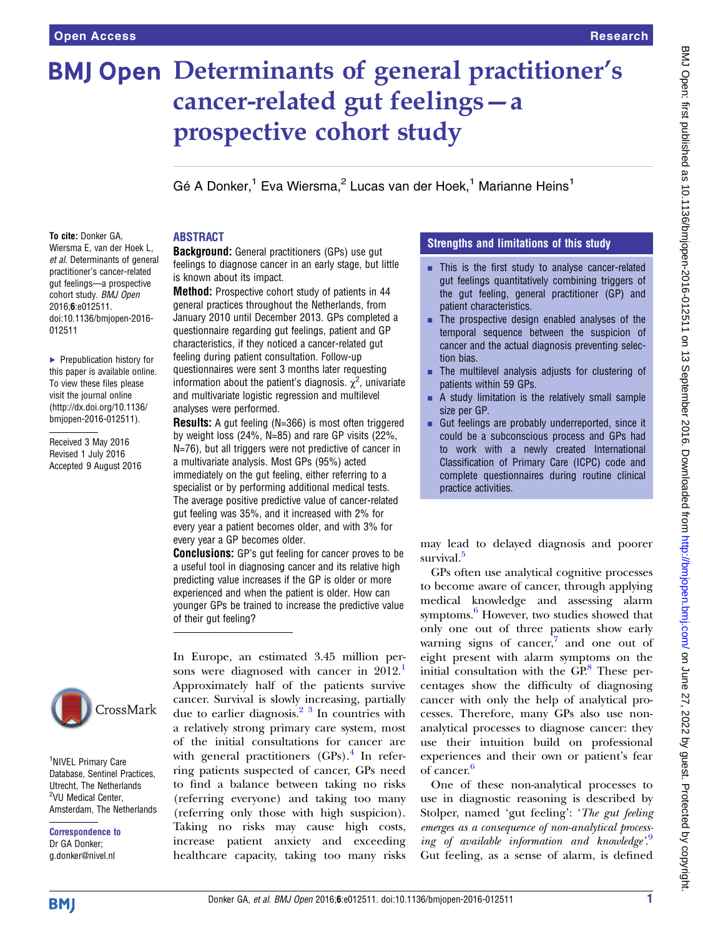# **BMJ Open Determinants of general practitioner's** cancer-related gut feelings—a prospective cohort study

Gé A Donker,<sup>1</sup> Eva Wiersma,<sup>2</sup> Lucas van der Hoek,<sup>1</sup> Marianne Heins<sup>1</sup>

To cite: Donker GA, Wiersma E, van der Hoek L, et al. Determinants of general practitioner's cancer-related gut feelings—a prospective cohort study. BMJ Open 2016;6:e012511. doi:10.1136/bmjopen-2016- 012511

▶ Prepublication history for this paper is available online. To view these files please visit the journal online [\(http://dx.doi.org/10.1136/](http://dx.doi.org/10.1136/bmjopen-2016-012511) [bmjopen-2016-012511](http://dx.doi.org/10.1136/bmjopen-2016-012511)).

Received 3 May 2016 Revised 1 July 2016 Accepted 9 August 2016



<sup>1</sup>NIVEL Primary Care Database, Sentinel Practices, Utrecht, The Netherlands <sup>2</sup>VU Medical Center, Amsterdam, The Netherlands

Correspondence to Dr GA Donker; g.donker@nivel.nl

## ABSTRACT

**Background:** General practitioners (GPs) use gut feelings to diagnose cancer in an early stage, but little is known about its impact.

Method: Prospective cohort study of patients in 44 general practices throughout the Netherlands, from January 2010 until December 2013. GPs completed a questionnaire regarding gut feelings, patient and GP characteristics, if they noticed a cancer-related gut feeling during patient consultation. Follow-up questionnaires were sent 3 months later requesting information about the patient's diagnosis.  $\chi^2$ , univariate and multivariate logistic regression and multilevel analyses were performed.

Results: A gut feeling (N=366) is most often triggered by weight loss (24%, N=85) and rare GP visits (22%, N=76), but all triggers were not predictive of cancer in a multivariate analysis. Most GPs (95%) acted immediately on the gut feeling, either referring to a specialist or by performing additional medical tests. The average positive predictive value of cancer-related gut feeling was 35%, and it increased with 2% for every year a patient becomes older, and with 3% for every year a GP becomes older.

Conclusions: GP's gut feeling for cancer proves to be a useful tool in diagnosing cancer and its relative high predicting value increases if the GP is older or more experienced and when the patient is older. How can younger GPs be trained to increase the predictive value of their gut feeling?

In Europe, an estimated 3.45 million per-sons were diagnosed with cancer in 20[1](#page-6-0)2. Approximately half of the patients survive cancer. Survival is slowly increasing, partially due to earlier diagnosis. $2^3$  In countries with a relatively strong primary care system, most of the initial consultations for cancer are with general practitioners  $(GPs)$ .<sup>[4](#page-6-0)</sup> In referring patients suspected of cancer, GPs need to find a balance between taking no risks (referring everyone) and taking too many (referring only those with high suspicion). Taking no risks may cause high costs, increase patient anxiety and exceeding healthcare capacity, taking too many risks

### Strengths and limitations of this study

- This is the first study to analyse cancer-related gut feelings quantitatively combining triggers of the gut feeling, general practitioner (GP) and patient characteristics.
- $\blacksquare$  The prospective design enabled analyses of the temporal sequence between the suspicion of cancer and the actual diagnosis preventing selection bias.
- $\blacksquare$  The multilevel analysis adjusts for clustering of patients within 59 GPs.
- $\blacksquare$  A study limitation is the relatively small sample size per GP.
- Gut feelings are probably underreported, since it could be a subconscious process and GPs had to work with a newly created International Classification of Primary Care (ICPC) code and complete questionnaires during routine clinical practice activities.

may lead to delayed diagnosis and poorer survival.<sup>[5](#page-6-0)</sup>

GPs often use analytical cognitive processes to become aware of cancer, through applying medical knowledge and assessing alarm symptoms.<sup>[6](#page-6-0)</sup> However, two studies showed that only one out of three patients show early warning signs of cancer, $7$  and one out of eight present with alarm symptoms on the initial consultation with the  $GP<sup>8</sup>$  $GP<sup>8</sup>$  $GP<sup>8</sup>$  These percentages show the difficulty of diagnosing cancer with only the help of analytical processes. Therefore, many GPs also use nonanalytical processes to diagnose cancer: they use their intuition build on professional experiences and their own or patient's fear of cancer.<sup>6</sup>

One of these non-analytical processes to use in diagnostic reasoning is described by Stolper, named 'gut feeling': 'The gut feeling emerges as a consequence of non-analytical process-ing of available information and knowledge'.<sup>[9](#page-6-0)</sup> Gut feeling, as a sense of alarm, is defined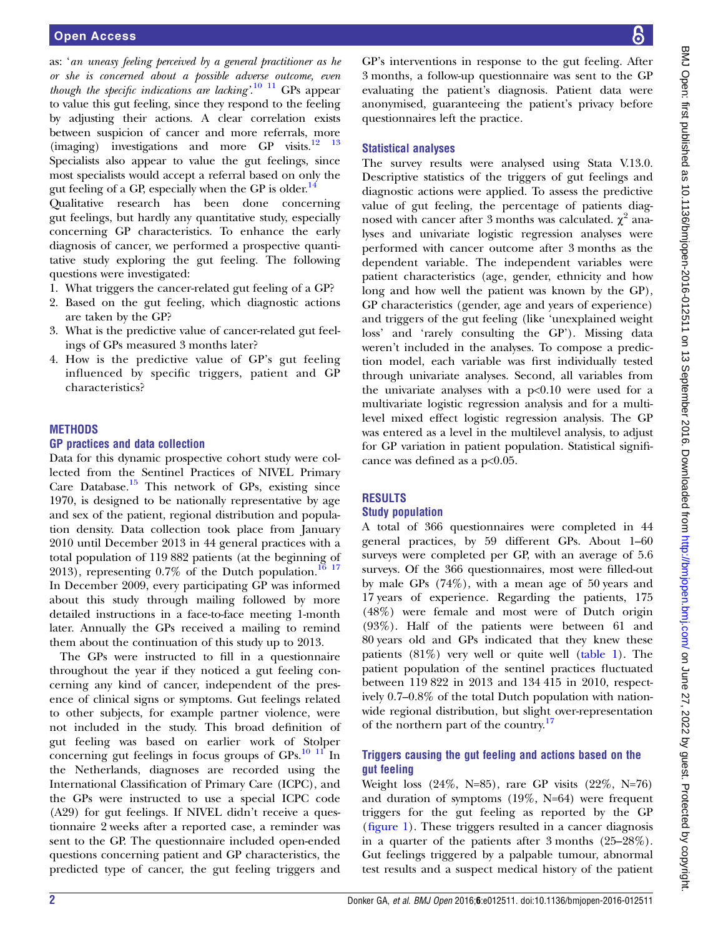as: 'an uneasy feeling perceived by a general practitioner as he or she is concerned about a possible adverse outcome, even though the specific indications are lacking'.<sup>10</sup> <sup>11</sup> GPs appear to value this gut feeling, since they respond to the feeling by adjusting their actions. A clear correlation exists between suspicion of cancer and more referrals, more (imaging) investigations and more GP visits. $12 \t 13$ Specialists also appear to value the gut feelings, since most specialists would accept a referral based on only the gut feeling of a GP, especially when the GP is older. $^{14}$  $^{14}$  $^{14}$ 

Qualitative research has been done concerning gut feelings, but hardly any quantitative study, especially concerning GP characteristics. To enhance the early diagnosis of cancer, we performed a prospective quantitative study exploring the gut feeling. The following questions were investigated:

- 1. What triggers the cancer-related gut feeling of a GP?
- 2. Based on the gut feeling, which diagnostic actions are taken by the GP?
- 3. What is the predictive value of cancer-related gut feelings of GPs measured 3 months later?
- 4. How is the predictive value of GP's gut feeling influenced by specific triggers, patient and GP characteristics?

#### **METHODS**

#### GP practices and data collection

Data for this dynamic prospective cohort study were collected from the Sentinel Practices of NIVEL Primary Care Database. $15$  This network of GPs, existing since 1970, is designed to be nationally representative by age and sex of the patient, regional distribution and population density. Data collection took place from January 2010 until December 2013 in 44 general practices with a total population of 119 882 patients (at the beginning of 2013), representing  $0.7\%$  of the Dutch population.<sup>16</sup> <sup>17</sup> In December 2009, every participating GP was informed about this study through mailing followed by more detailed instructions in a face-to-face meeting 1-month later. Annually the GPs received a mailing to remind them about the continuation of this study up to 2013.

The GPs were instructed to fill in a questionnaire throughout the year if they noticed a gut feeling concerning any kind of cancer, independent of the presence of clinical signs or symptoms. Gut feelings related to other subjects, for example partner violence, were not included in the study. This broad definition of gut feeling was based on earlier work of Stolper concerning gut feelings in focus groups of GPs. $^{10}$   $^{11}$  In the Netherlands, diagnoses are recorded using the International Classification of Primary Care (ICPC), and the GPs were instructed to use a special ICPC code (A29) for gut feelings. If NIVEL didn't receive a questionnaire 2 weeks after a reported case, a reminder was sent to the GP. The questionnaire included open-ended questions concerning patient and GP characteristics, the predicted type of cancer, the gut feeling triggers and GP's interventions in response to the gut feeling. After 3 months, a follow-up questionnaire was sent to the GP evaluating the patient's diagnosis. Patient data were anonymised, guaranteeing the patient's privacy before questionnaires left the practice.

#### Statistical analyses

The survey results were analysed using Stata V.13.0. Descriptive statistics of the triggers of gut feelings and diagnostic actions were applied. To assess the predictive value of gut feeling, the percentage of patients diagnosed with cancer after 3 months was calculated.  $\chi^2$  analyses and univariate logistic regression analyses were performed with cancer outcome after 3 months as the dependent variable. The independent variables were patient characteristics (age, gender, ethnicity and how long and how well the patient was known by the GP), GP characteristics (gender, age and years of experience) and triggers of the gut feeling (like 'unexplained weight loss' and 'rarely consulting the GP'). Missing data weren't included in the analyses. To compose a prediction model, each variable was first individually tested through univariate analyses. Second, all variables from the univariate analyses with a  $p<0.10$  were used for a multivariate logistic regression analysis and for a multilevel mixed effect logistic regression analysis. The GP was entered as a level in the multilevel analysis, to adjust for GP variation in patient population. Statistical significance was defined as a p<0.05.

### RESULTS

#### Study population

A total of 366 questionnaires were completed in 44 general practices, by 59 different GPs. About 1–60 surveys were completed per GP, with an average of 5.6 surveys. Of the 366 questionnaires, most were filled-out by male GPs (74%), with a mean age of 50 years and 17 years of experience. Regarding the patients, 175 (48%) were female and most were of Dutch origin (93%). Half of the patients were between 61 and 80 years old and GPs indicated that they knew these patients  $(81\%)$  very well or quite well  $(table 1)$ . The patient population of the sentinel practices fluctuated between 119 822 in 2013 and 134 415 in 2010, respectively 0.7–0.8% of the total Dutch population with nationwide regional distribution, but slight over-representation of the northern part of the country.<sup>17</sup>

## Triggers causing the gut feeling and actions based on the gut feeling

Weight loss (24%, N=85), rare GP visits (22%, N=76) and duration of symptoms (19%, N=64) were frequent triggers for the gut feeling as reported by the GP (fi[gure 1](#page-3-0)). These triggers resulted in a cancer diagnosis in a quarter of the patients after 3 months (25–28%). Gut feelings triggered by a palpable tumour, abnormal test results and a suspect medical history of the patient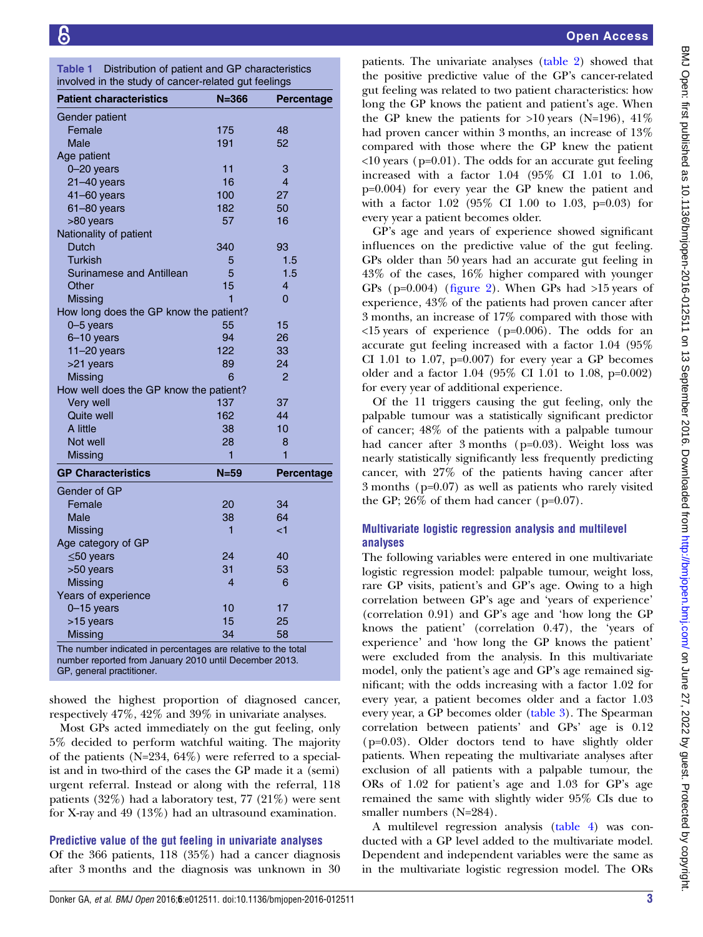<span id="page-2-0"></span>

| Table 1 | Distribution of patient and GP characteristics       |
|---------|------------------------------------------------------|
|         | involved in the study of cancer-related gut feelings |

| <b>Patient characteristics</b>                                | $N = 366$      | Percentage |  |
|---------------------------------------------------------------|----------------|------------|--|
| Gender patient                                                |                |            |  |
| Female                                                        | 175            | 48         |  |
| Male                                                          | 191            | 52         |  |
| Age patient                                                   |                |            |  |
| 0-20 years                                                    | 11             | 3          |  |
| $21-40$ years                                                 | 16             | 4          |  |
| $41-60$ years                                                 | 100            | 27         |  |
| 61-80 years                                                   | 182            | 50         |  |
| >80 years                                                     | 57             | 16         |  |
| Nationality of patient                                        |                |            |  |
| Dutch                                                         | 340            | 93         |  |
| Turkish                                                       | 5              | 1.5        |  |
| Surinamese and Antillean                                      | 5              | 1.5        |  |
| Other                                                         | 15             | 4          |  |
| Missing                                                       | 1              | 0          |  |
| How long does the GP know the patient?                        |                |            |  |
| 0–5 years                                                     | 55             | 15         |  |
| 6-10 years                                                    | 94             | 26         |  |
| $11-20$ years                                                 | 122            | 33         |  |
| >21 years                                                     | 89             | 24         |  |
| Missing                                                       | 6              | 2          |  |
| How well does the GP know the patient?                        |                |            |  |
| Very well                                                     | 137            | 37         |  |
| Quite well                                                    | 162            | 44         |  |
| A little                                                      | 38             | 10         |  |
| Not well                                                      | 28             | 8          |  |
| <b>Missing</b>                                                | 1              | 1          |  |
| <b>GP Characteristics</b>                                     | $N = 59$       | Percentage |  |
| Gender of GP                                                  |                |            |  |
| Female                                                        | 20             | 34         |  |
| Male                                                          | 38             | 64         |  |
| Missing                                                       | 1              | $<$ 1      |  |
| Age category of GP                                            |                |            |  |
| $\leq$ 50 years                                               | 24             | 40         |  |
| >50 years                                                     | 31             | 53         |  |
| <b>Missing</b>                                                | $\overline{4}$ | 6          |  |
| Years of experience                                           |                |            |  |
| $0 - 15$ years                                                | 10             | 17         |  |
| >15 years                                                     | 15             | 25         |  |
| Missing                                                       | 34             | 58         |  |
| The number indicated in percentages are relative to the total |                |            |  |

number reported from January 2010 until December 2013. GP, general practitioner.

showed the highest proportion of diagnosed cancer, respectively 47%, 42% and 39% in univariate analyses.

Most GPs acted immediately on the gut feeling, only 5% decided to perform watchful waiting. The majority of the patients (N=234, 64%) were referred to a specialist and in two-third of the cases the GP made it a (semi) urgent referral. Instead or along with the referral, 118 patients (32%) had a laboratory test, 77 (21%) were sent for X-ray and 49 (13%) had an ultrasound examination.

### Predictive value of the gut feeling in univariate analyses

Of the 366 patients, 118 (35%) had a cancer diagnosis after 3 months and the diagnosis was unknown in 30

patients. The univariate analyses ([table 2](#page-4-0)) showed that the positive predictive value of the GP's cancer-related gut feeling was related to two patient characteristics: how long the GP knows the patient and patient's age. When the GP knew the patients for  $>10$  years (N=196), 41% had proven cancer within 3 months, an increase of 13% compared with those where the GP knew the patient  $\langle 10 \rangle$  years (p=0.01). The odds for an accurate gut feeling increased with a factor 1.04 (95% CI 1.01 to 1.06, p=0.004) for every year the GP knew the patient and with a factor 1.02 (95% CI 1.00 to 1.03, p=0.03) for every year a patient becomes older.

GP's age and years of experience showed significant influences on the predictive value of the gut feeling. GPs older than 50 years had an accurate gut feeling in 43% of the cases, 16% higher compared with younger GPs (p=0.004) (fi[gure 2\)](#page-5-0). When GPs had  $>15$  years of experience, 43% of the patients had proven cancer after 3 months, an increase of 17% compared with those with  $\langle 15 \rangle$  years of experience (p=0.006). The odds for an accurate gut feeling increased with a factor 1.04 (95% CI 1.01 to 1.07,  $p=0.007$ ) for every year a GP becomes older and a factor 1.04 (95% CI 1.01 to 1.08, p=0.002) for every year of additional experience.

Of the 11 triggers causing the gut feeling, only the palpable tumour was a statistically significant predictor of cancer; 48% of the patients with a palpable tumour had cancer after 3 months (p=0.03). Weight loss was nearly statistically significantly less frequently predicting cancer, with 27% of the patients having cancer after 3 months (p=0.07) as well as patients who rarely visited the GP;  $26\%$  of them had cancer (p=0.07).

## Multivariate logistic regression analysis and multilevel analyses

The following variables were entered in one multivariate logistic regression model: palpable tumour, weight loss, rare GP visits, patient's and GP's age. Owing to a high correlation between GP's age and 'years of experience' (correlation 0.91) and GP's age and 'how long the GP knows the patient' (correlation 0.47), the 'years of experience' and 'how long the GP knows the patient' were excluded from the analysis. In this multivariate model, only the patient's age and GP's age remained significant; with the odds increasing with a factor 1.02 for every year, a patient becomes older and a factor 1.03 every year, a GP becomes older ([table 3](#page-5-0)). The Spearman correlation between patients' and GPs' age is 0.12 (p=0.03). Older doctors tend to have slightly older patients. When repeating the multivariate analyses after exclusion of all patients with a palpable tumour, the ORs of 1.02 for patient's age and 1.03 for GP's age remained the same with slightly wider 95% CIs due to smaller numbers (N=284).

A multilevel regression analysis ([table 4](#page-5-0)) was conducted with a GP level added to the multivariate model. Dependent and independent variables were the same as in the multivariate logistic regression model. The ORs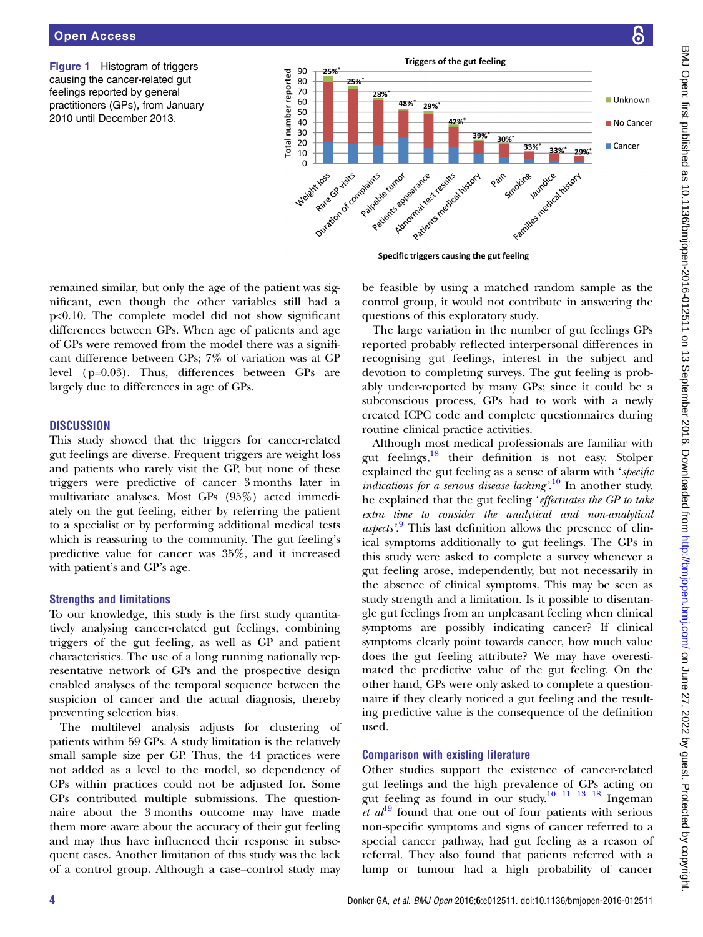<span id="page-3-0"></span>Figure 1 Histogram of triggers causing the cancer-related gut feelings reported by general practitioners (GPs), from January 2010 until December 2013.

Triggers of the gut feeling

42%\*

Specific triggers causing the gut feeling

39%

30%

Pain

33%

Smoking

Families

33%

suratice integral

Isundice

29%

 $Q<sub>0</sub>$ 

80

70

60

50

 $40$ 

 $30$ 

20

10  $\Omega$ 

Weish Rate

Total number reported

25%

 $25%$ 

Duxation of company

28%

48% 29%

a steer surge street

Patostats and

ive operations residents Parison te redits history **Unknown** 

No Cancer

■ Cancer



remained similar, but only the age of the patient was significant, even though the other variables still had a p<0.10. The complete model did not show significant differences between GPs. When age of patients and age of GPs were removed from the model there was a significant difference between GPs; 7% of variation was at GP level (p=0.03). Thus, differences between GPs are largely due to differences in age of GPs.

## **DISCUSSION**

This study showed that the triggers for cancer-related gut feelings are diverse. Frequent triggers are weight loss and patients who rarely visit the GP, but none of these triggers were predictive of cancer 3 months later in multivariate analyses. Most GPs (95%) acted immediately on the gut feeling, either by referring the patient to a specialist or by performing additional medical tests which is reassuring to the community. The gut feeling's predictive value for cancer was 35%, and it increased with patient's and GP's age.

## Strengths and limitations

To our knowledge, this study is the first study quantitatively analysing cancer-related gut feelings, combining triggers of the gut feeling, as well as GP and patient characteristics. The use of a long running nationally representative network of GPs and the prospective design enabled analyses of the temporal sequence between the suspicion of cancer and the actual diagnosis, thereby preventing selection bias.

The multilevel analysis adjusts for clustering of patients within 59 GPs. A study limitation is the relatively small sample size per GP. Thus, the 44 practices were not added as a level to the model, so dependency of GPs within practices could not be adjusted for. Some GPs contributed multiple submissions. The questionnaire about the 3 months outcome may have made them more aware about the accuracy of their gut feeling and may thus have influenced their response in subsequent cases. Another limitation of this study was the lack of a control group. Although a case–control study may

be feasible by using a matched random sample as the control group, it would not contribute in answering the questions of this exploratory study.

The large variation in the number of gut feelings GPs reported probably reflected interpersonal differences in recognising gut feelings, interest in the subject and devotion to completing surveys. The gut feeling is probably under-reported by many GPs; since it could be a subconscious process, GPs had to work with a newly created ICPC code and complete questionnaires during routine clinical practice activities.

Although most medical professionals are familiar with gut feelings, $^{18}$  their definition is not easy. Stolper explained the gut feeling as a sense of alarm with 'specific indications for a serious disease lacking'.<sup>[10](#page-6-0)</sup> In another study, he explained that the gut feeling 'effectuates the GP to take extra time to consider the analytical and non-analytical aspects'.<sup>[9](#page-6-0)</sup> This last definition allows the presence of clinical symptoms additionally to gut feelings. The GPs in this study were asked to complete a survey whenever a gut feeling arose, independently, but not necessarily in the absence of clinical symptoms. This may be seen as study strength and a limitation. Is it possible to disentangle gut feelings from an unpleasant feeling when clinical symptoms are possibly indicating cancer? If clinical symptoms clearly point towards cancer, how much value does the gut feeling attribute? We may have overestimated the predictive value of the gut feeling. On the other hand, GPs were only asked to complete a questionnaire if they clearly noticed a gut feeling and the resulting predictive value is the consequence of the definition used.

## Comparison with existing literature

Other studies support the existence of cancer-related gut feelings and the high prevalence of GPs acting on gut feeling as found in our study.<sup>10 11 13 18</sup> Ingeman *et al*<sup>[19](#page-6-0)</sup> found that one out of four patients with serious non-specific symptoms and signs of cancer referred to a special cancer pathway, had gut feeling as a reason of referral. They also found that patients referred with a lump or tumour had a high probability of cancer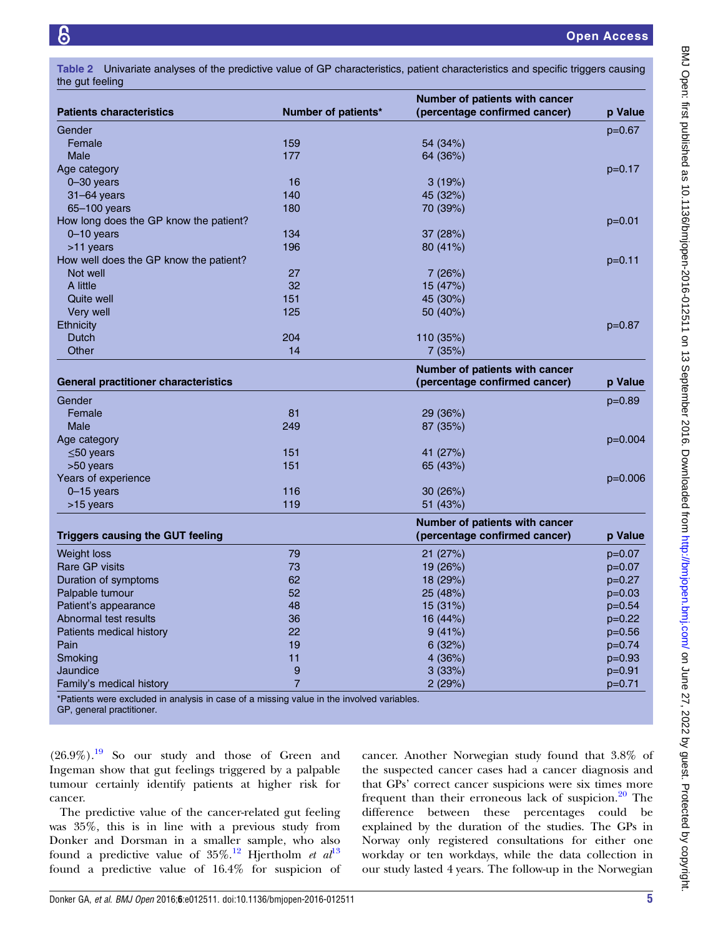<span id="page-4-0"></span>

| <b>Patients characteristics</b>        | Number of patients* | Number of patients with cancer<br>(percentage confirmed cancer) | p Value  |
|----------------------------------------|---------------------|-----------------------------------------------------------------|----------|
| Gender                                 |                     |                                                                 | $p=0.67$ |
| Female                                 | 159                 | 54 (34%)                                                        |          |
| <b>Male</b>                            | 177                 | 64 (36%)                                                        |          |
| Age category                           |                     |                                                                 | $p=0.17$ |
| $0 - 30$ years                         | 16                  | 3(19%)                                                          |          |
| 31-64 years                            | 140                 | 45 (32%)                                                        |          |
| $65-100$ years                         | 180                 | 70 (39%)                                                        |          |
| How long does the GP know the patient? |                     |                                                                 | $p=0.01$ |
| $0 - 10$ years                         | 134                 | 37 (28%)                                                        |          |
| >11 years                              | 196                 | 80 (41%)                                                        |          |
| How well does the GP know the patient? |                     |                                                                 | $p=0.11$ |
| Not well                               | 27                  | 7(26%)                                                          |          |
| A little                               | 32                  | 15 (47%)                                                        |          |
| Quite well                             | 151                 | 45 (30%)                                                        |          |
| Very well                              | 125                 | 50 (40%)                                                        |          |
| Ethnicity                              |                     |                                                                 | $p=0.87$ |
| Dutch                                  | 204                 | 110 (35%)                                                       |          |
| Other                                  | 14                  | 7(35%)                                                          |          |
| General practitioner characteristics   |                     | Number of patients with cancer<br>(percentage confirmed cancer) | p Value  |
| $\bigcap$ and and $\bigcap$            |                     |                                                                 | $-0.00$  |

| Gender                                  |                |                                | $p=0.89$  |
|-----------------------------------------|----------------|--------------------------------|-----------|
| Female                                  | 81             | 29 (36%)                       |           |
| <b>Male</b>                             | 249            | 87 (35%)                       |           |
| Age category                            |                |                                | $p=0.004$ |
| $\leq 50$ years                         | 151            | 41 (27%)                       |           |
| >50 years                               | 151            | 65 (43%)                       |           |
| Years of experience                     |                |                                | $p=0.006$ |
| $0 - 15$ years                          | 116            | 30(26%)                        |           |
| >15 years                               | 119            | 51 (43%)                       |           |
|                                         |                | Number of patients with cancer |           |
| <b>Triggers causing the GUT feeling</b> |                | (percentage confirmed cancer)  | p Value   |
| <b>Weight loss</b>                      | 79             | 21(27%)                        | $p=0.07$  |
| Rare GP visits                          | 73             | 19 (26%)                       | $p=0.07$  |
| Duration of symptoms                    | 62             | 18 (29%)                       | $p=0.27$  |
| Palpable tumour                         | 52             | 25 (48%)                       | $p=0.03$  |
| Patient's appearance                    | 48             | 15 (31%)                       | $p=0.54$  |
| Abnormal test results                   | 36             | 16 (44%)                       | $p=0.22$  |
| Patients medical history                | 22             | 9(41%)                         | $p=0.56$  |
| Pain                                    | 19             | 6(32%)                         | $p=0.74$  |
| Smoking                                 | 11             | 4(36%)                         | $p=0.93$  |
| Jaundice                                | 9              | 3(33%)                         | $p=0.91$  |
| Family's medical history                | $\overline{7}$ | 2(29%)                         | $p=0.71$  |

\*Patients were excluded in analysis in case of a missing value in the involved variables.

GP, general practitioner.

 $(26.9\%)$ .<sup>[19](#page-6-0)</sup> So our study and those of Green and Ingeman show that gut feelings triggered by a palpable tumour certainly identify patients at higher risk for cancer.

The predictive value of the cancer-related gut feeling was 35%, this is in line with a previous study from Donker and Dorsman in a smaller sample, who also found a predictive value of  $35\%$ .<sup>[12](#page-6-0)</sup> Hjertholm *et al*<sup>[13](#page-6-0)</sup> found a predictive value of 16.4% for suspicion of cancer. Another Norwegian study found that 3.8% of the suspected cancer cases had a cancer diagnosis and that GPs' correct cancer suspicions were six times more frequent than their erroneous lack of suspicion. $20$  The difference between these percentages could be explained by the duration of the studies. The GPs in Norway only registered consultations for either one workday or ten workdays, while the data collection in our study lasted 4 years. The follow-up in the Norwegian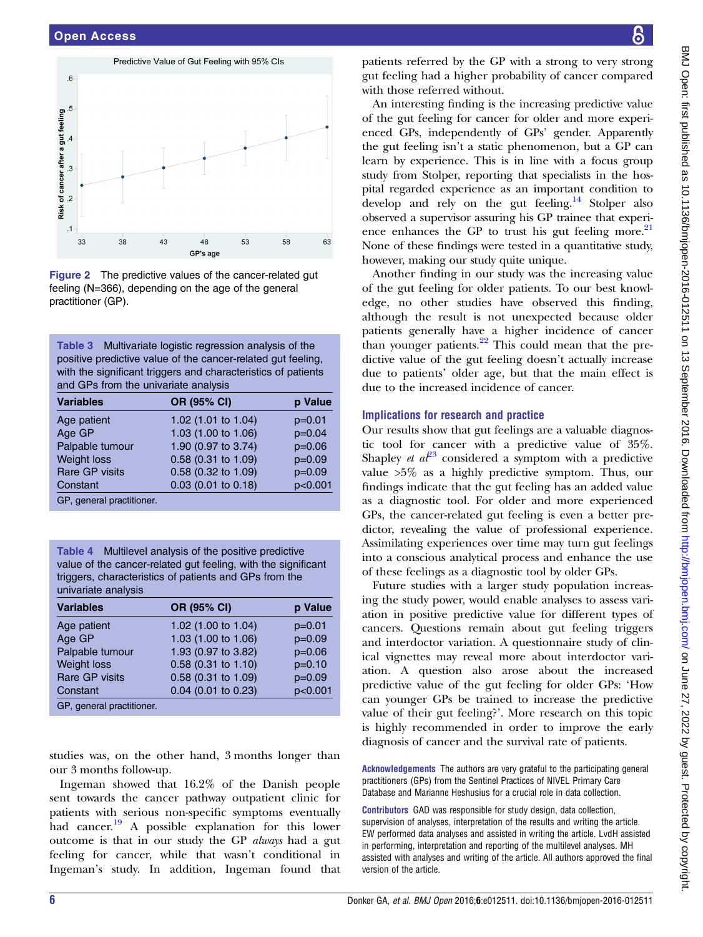<span id="page-5-0"></span>

Figure 2 The predictive values of the cancer-related gut feeling (N=366), depending on the age of the general practitioner (GP).

Table 3 Multivariate logistic regression analysis of the positive predictive value of the cancer-related gut feeling, with the significant triggers and characteristics of patients and GPs from the univariate analysis

| <b>Variables</b>          | OR (95% CI)         | p Value  |
|---------------------------|---------------------|----------|
| Age patient               | 1.02 (1.01 to 1.04) | $p=0.01$ |
| Age GP                    | 1.03 (1.00 to 1.06) | $p=0.04$ |
| Palpable tumour           | 1.90 (0.97 to 3.74) | $p=0.06$ |
| <b>Weight loss</b>        | 0.58 (0.31 to 1.09) | $p=0.09$ |
| Rare GP visits            | 0.58 (0.32 to 1.09) | $p=0.09$ |
| Constant                  | 0.03 (0.01 to 0.18) | p<0.001  |
| GP, general practitioner. |                     |          |

Table 4 Multilevel analysis of the positive predictive value of the cancer-related gut feeling, with the significant triggers, characteristics of patients and GPs from the univariate analysis

| <b>Variables</b>          | OR (95% CI)         | p Value  |
|---------------------------|---------------------|----------|
| Age patient               | 1.02 (1.00 to 1.04) | $p=0.01$ |
| Age GP                    | 1.03 (1.00 to 1.06) | $p=0.09$ |
| Palpable tumour           | 1.93 (0.97 to 3.82) | $p=0.06$ |
| <b>Weight loss</b>        | 0.58 (0.31 to 1.10) | $p=0.10$ |
| Rare GP visits            | 0.58 (0.31 to 1.09) | $p=0.09$ |
| Constant                  | 0.04 (0.01 to 0.23) | p<0.001  |
| GP, general practitioner. |                     |          |

studies was, on the other hand, 3 months longer than our 3 months follow-up.

Ingeman showed that 16.2% of the Danish people sent towards the cancer pathway outpatient clinic for patients with serious non-specific symptoms eventually had cancer.<sup>[19](#page-6-0)</sup> A possible explanation for this lower outcome is that in our study the GP always had a gut feeling for cancer, while that wasn't conditional in Ingeman's study. In addition, Ingeman found that

patients referred by the GP with a strong to very strong gut feeling had a higher probability of cancer compared with those referred without.

An interesting finding is the increasing predictive value of the gut feeling for cancer for older and more experienced GPs, independently of GPs' gender. Apparently the gut feeling isn't a static phenomenon, but a GP can learn by experience. This is in line with a focus group study from Stolper, reporting that specialists in the hospital regarded experience as an important condition to develop and rely on the gut feeling.<sup>[14](#page-6-0)</sup> Stolper also observed a supervisor assuring his GP trainee that experience enhances the GP to trust his gut feeling more. $21$ None of these findings were tested in a quantitative study, however, making our study quite unique.

Another finding in our study was the increasing value of the gut feeling for older patients. To our best knowledge, no other studies have observed this finding, although the result is not unexpected because older patients generally have a higher incidence of cancer than younger patients.<sup>[22](#page-6-0)</sup> This could mean that the predictive value of the gut feeling doesn't actually increase due to patients' older age, but that the main effect is due to the increased incidence of cancer.

#### Implications for research and practice

Our results show that gut feelings are a valuable diagnostic tool for cancer with a predictive value of 35%. Shapley *et al*<sup>[23](#page-6-0)</sup> considered a symptom with a predictive value >5% as a highly predictive symptom. Thus, our findings indicate that the gut feeling has an added value as a diagnostic tool. For older and more experienced GPs, the cancer-related gut feeling is even a better predictor, revealing the value of professional experience. Assimilating experiences over time may turn gut feelings into a conscious analytical process and enhance the use of these feelings as a diagnostic tool by older GPs.

Future studies with a larger study population increasing the study power, would enable analyses to assess variation in positive predictive value for different types of cancers. Questions remain about gut feeling triggers and interdoctor variation. A questionnaire study of clinical vignettes may reveal more about interdoctor variation. A question also arose about the increased predictive value of the gut feeling for older GPs: 'How can younger GPs be trained to increase the predictive value of their gut feeling?'. More research on this topic is highly recommended in order to improve the early diagnosis of cancer and the survival rate of patients.

Acknowledgements The authors are very grateful to the participating general practitioners (GPs) from the Sentinel Practices of NIVEL Primary Care Database and Marianne Heshusius for a crucial role in data collection.

Contributors GAD was responsible for study design, data collection, supervision of analyses, interpretation of the results and writing the article. EW performed data analyses and assisted in writing the article. LvdH assisted in performing, interpretation and reporting of the multilevel analyses. MH assisted with analyses and writing of the article. All authors approved the final version of the article.